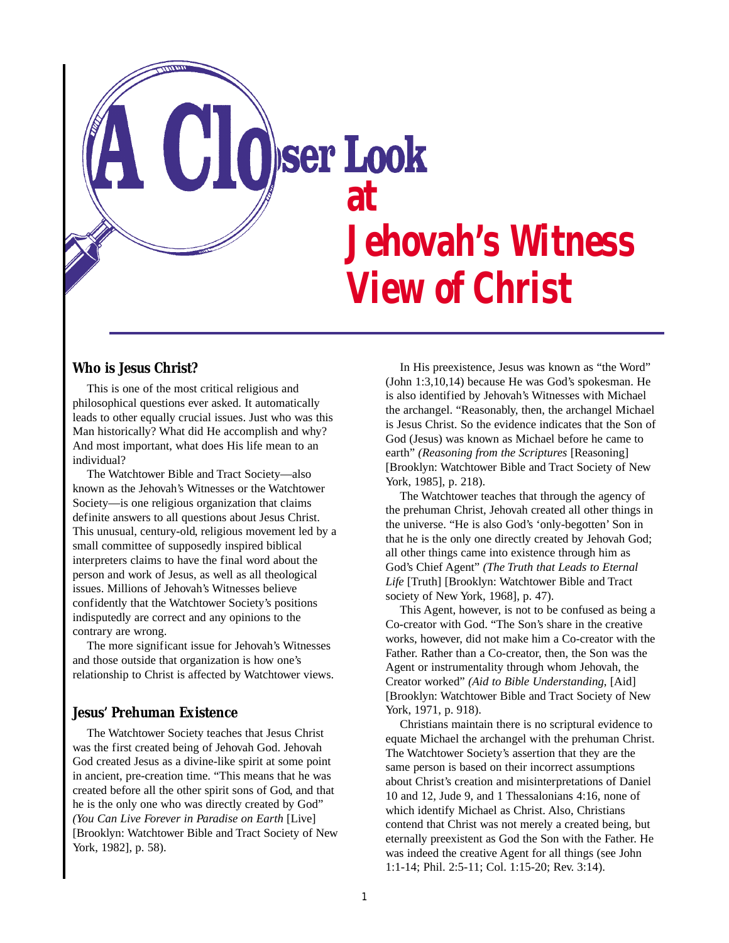

# **Who is Jesus Christ?**

This is one of the most critical religious and philosophical questions ever asked. It automatically leads to other equally crucial issues. Just who was this Man historically? What did He accomplish and why? And most important, what does His life mean to an individual?

The Watchtower Bible and Tract Society—also known as the Jehovah's Witnesses or the Watchtower Society—is one religious organization that claims definite answers to all questions about Jesus Christ. This unusual, century-old, religious movement led by a small committee of supposedly inspired biblical interpreters claims to have the final word about the person and work of Jesus, as well as all theological issues. Millions of Jehovah's Witnesses believe confidently that the Watchtower Society's positions indisputedly are correct and any opinions to the contrary are wrong.

The more significant issue for Jehovah's Witnesses and those outside that organization is how one's relationship to Christ is affected by Watchtower views.

### **Jesus' Prehuman Existence**

The Watchtower Society teaches that Jesus Christ was the first created being of Jehovah God. Jehovah God created Jesus as a divine-like spirit at some point in ancient, pre-creation time. "This means that he was created before all the other spirit sons of God, and that he is the only one who was directly created by God" *(You Can Live Forever in Paradise on Earth* [Live] [Brooklyn: Watchtower Bible and Tract Society of New York, 1982], p. 58).

In His preexistence, Jesus was known as "the Word" (John 1:3,10,14) because He was God's spokesman. He is also identified by Jehovah's Witnesses with Michael the archangel. "Reasonably, then, the archangel Michael is Jesus Christ. So the evidence indicates that the Son of God (Jesus) was known as Michael before he came to earth" *(Reasoning from the Scriptures* [Reasoning] [Brooklyn: Watchtower Bible and Tract Society of New York, 1985], p. 218).

The Watchtower teaches that through the agency of the prehuman Christ, Jehovah created all other things in the universe. "He is also God's 'only-begotten' Son in that he is the only one directly created by Jehovah God; all other things came into existence through him as God's Chief Agent" *(The Truth that Leads to Eternal Life* [Truth] [Brooklyn: Watchtower Bible and Tract society of New York, 1968], p. 47).

This Agent, however, is not to be confused as being a Co-creator with God. "The Son's share in the creative works, however, did not make him a Co-creator with the Father. Rather than a Co-creator, then, the Son was the Agent or instrumentality through whom Jehovah, the Creator worked" *(Aid to Bible Understanding*, [Aid] [Brooklyn: Watchtower Bible and Tract Society of New York, 1971, p. 918).

Christians maintain there is no scriptural evidence to equate Michael the archangel with the prehuman Christ. The Watchtower Society's assertion that they are the same person is based on their incorrect assumptions about Christ's creation and misinterpretations of Daniel 10 and 12, Jude 9, and 1 Thessalonians 4:16, none of which identify Michael as Christ. Also, Christians contend that Christ was not merely a created being, but eternally preexistent as God the Son with the Father. He was indeed the creative Agent for all things (see John 1:1-14; Phil. 2:5-11; Col. 1:15-20; Rev. 3:14).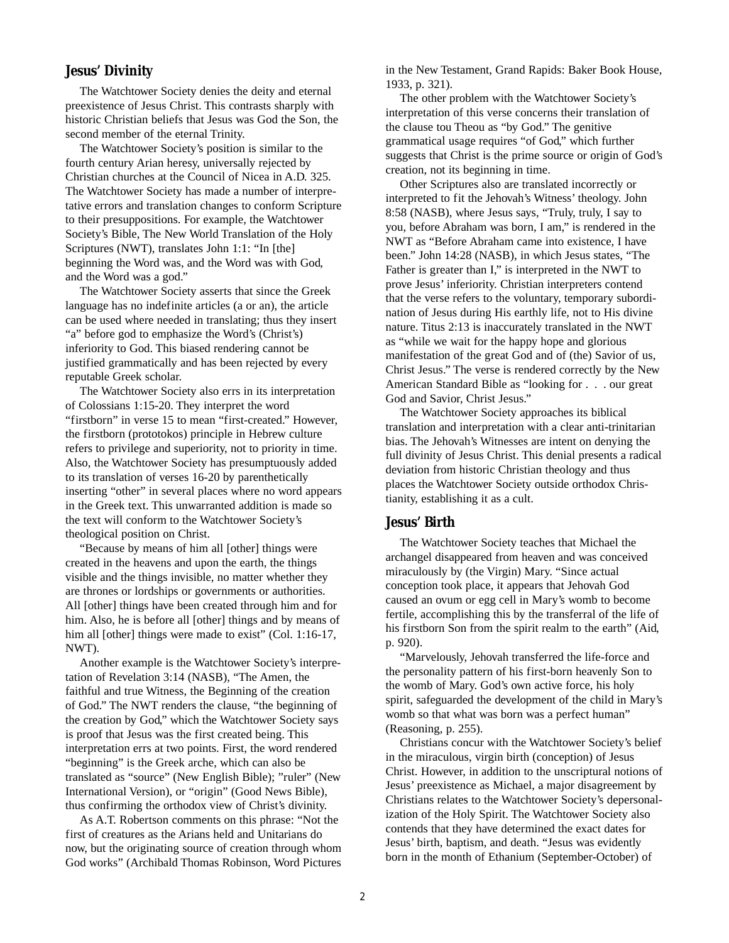## **Jesus' Divinity**

The Watchtower Society denies the deity and eternal preexistence of Jesus Christ. This contrasts sharply with historic Christian beliefs that Jesus was God the Son, the second member of the eternal Trinity.

The Watchtower Society's position is similar to the fourth century Arian heresy, universally rejected by Christian churches at the Council of Nicea in A.D. 325. The Watchtower Society has made a number of interpretative errors and translation changes to conform Scripture to their presuppositions. For example, the Watchtower Society's Bible, The New World Translation of the Holy Scriptures (NWT), translates John 1:1: "In [the] beginning the Word was, and the Word was with God, and the Word was a god."

The Watchtower Society asserts that since the Greek language has no indefinite articles (a or an), the article can be used where needed in translating; thus they insert "a" before god to emphasize the Word's (Christ's) inferiority to God. This biased rendering cannot be justified grammatically and has been rejected by every reputable Greek scholar.

The Watchtower Society also errs in its interpretation of Colossians 1:15-20. They interpret the word "firstborn" in verse 15 to mean "first-created." However, the firstborn (prototokos) principle in Hebrew culture refers to privilege and superiority, not to priority in time. Also, the Watchtower Society has presumptuously added to its translation of verses 16-20 by parenthetically inserting "other" in several places where no word appears in the Greek text. This unwarranted addition is made so the text will conform to the Watchtower Society's theological position on Christ.

"Because by means of him all [other] things were created in the heavens and upon the earth, the things visible and the things invisible, no matter whether they are thrones or lordships or governments or authorities. All [other] things have been created through him and for him. Also, he is before all [other] things and by means of him all [other] things were made to exist" (Col. 1:16-17, NWT).

Another example is the Watchtower Society's interpretation of Revelation 3:14 (NASB), "The Amen, the faithful and true Witness, the Beginning of the creation of God." The NWT renders the clause, "the beginning of the creation by God," which the Watchtower Society says is proof that Jesus was the first created being. This interpretation errs at two points. First, the word rendered "beginning" is the Greek arche, which can also be translated as "source" (New English Bible); "ruler" (New International Version), or "origin" (Good News Bible), thus confirming the orthodox view of Christ's divinity.

As A.T. Robertson comments on this phrase: "Not the first of creatures as the Arians held and Unitarians do now, but the originating source of creation through whom God works" (Archibald Thomas Robinson, Word Pictures in the New Testament, Grand Rapids: Baker Book House, 1933, p. 321).

The other problem with the Watchtower Society's interpretation of this verse concerns their translation of the clause tou Theou as "by God." The genitive grammatical usage requires "of God," which further suggests that Christ is the prime source or origin of God's creation, not its beginning in time.

Other Scriptures also are translated incorrectly or interpreted to fit the Jehovah's Witness' theology. John 8:58 (NASB), where Jesus says, "Truly, truly, I say to you, before Abraham was born, I am," is rendered in the NWT as "Before Abraham came into existence, I have been." John 14:28 (NASB), in which Jesus states, "The Father is greater than I," is interpreted in the NWT to prove Jesus' inferiority. Christian interpreters contend that the verse refers to the voluntary, temporary subordination of Jesus during His earthly life, not to His divine nature. Titus 2:13 is inaccurately translated in the NWT as "while we wait for the happy hope and glorious manifestation of the great God and of (the) Savior of us, Christ Jesus." The verse is rendered correctly by the New American Standard Bible as "looking for . . . our great God and Savior, Christ Jesus."

The Watchtower Society approaches its biblical translation and interpretation with a clear anti-trinitarian bias. The Jehovah's Witnesses are intent on denying the full divinity of Jesus Christ. This denial presents a radical deviation from historic Christian theology and thus places the Watchtower Society outside orthodox Christianity, establishing it as a cult.

#### **Jesus' Birth**

The Watchtower Society teaches that Michael the archangel disappeared from heaven and was conceived miraculously by (the Virgin) Mary. "Since actual conception took place, it appears that Jehovah God caused an ovum or egg cell in Mary's womb to become fertile, accomplishing this by the transferral of the life of his firstborn Son from the spirit realm to the earth" (Aid, p. 920).

"Marvelously, Jehovah transferred the life-force and the personality pattern of his first-born heavenly Son to the womb of Mary. God's own active force, his holy spirit, safeguarded the development of the child in Mary's womb so that what was born was a perfect human" (Reasoning, p. 255).

Christians concur with the Watchtower Society's belief in the miraculous, virgin birth (conception) of Jesus Christ. However, in addition to the unscriptural notions of Jesus' preexistence as Michael, a major disagreement by Christians relates to the Watchtower Society's depersonalization of the Holy Spirit. The Watchtower Society also contends that they have determined the exact dates for Jesus' birth, baptism, and death. "Jesus was evidently born in the month of Ethanium (September-October) of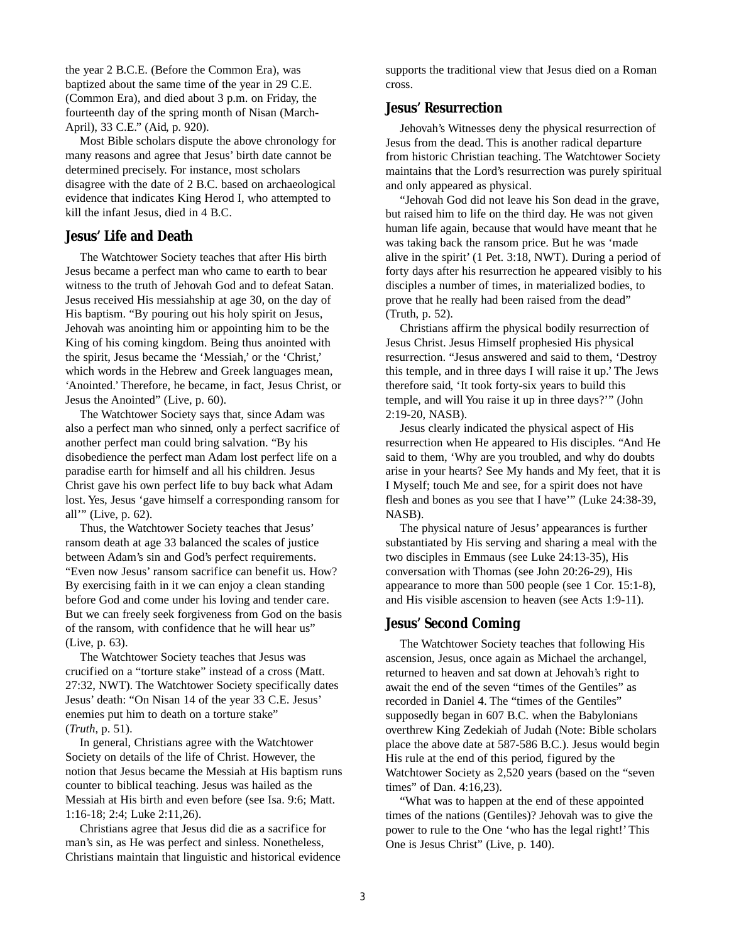the year 2 B.C.E. (Before the Common Era), was baptized about the same time of the year in 29 C.E. (Common Era), and died about 3 p.m. on Friday, the fourteenth day of the spring month of Nisan (March-April), 33 C.E." (Aid, p. 920).

Most Bible scholars dispute the above chronology for many reasons and agree that Jesus' birth date cannot be determined precisely. For instance, most scholars disagree with the date of 2 B.C. based on archaeological evidence that indicates King Herod I, who attempted to kill the infant Jesus, died in 4 B.C.

### **Jesus' Life and Death**

The Watchtower Society teaches that after His birth Jesus became a perfect man who came to earth to bear witness to the truth of Jehovah God and to defeat Satan. Jesus received His messiahship at age 30, on the day of His baptism. "By pouring out his holy spirit on Jesus, Jehovah was anointing him or appointing him to be the King of his coming kingdom. Being thus anointed with the spirit, Jesus became the 'Messiah,' or the 'Christ,' which words in the Hebrew and Greek languages mean, 'Anointed.'Therefore, he became, in fact, Jesus Christ, or Jesus the Anointed" (Live, p. 60).

The Watchtower Society says that, since Adam was also a perfect man who sinned, only a perfect sacrifice of another perfect man could bring salvation. "By his disobedience the perfect man Adam lost perfect life on a paradise earth for himself and all his children. Jesus Christ gave his own perfect life to buy back what Adam lost. Yes, Jesus 'gave himself a corresponding ransom for all'" (Live, p. 62).

Thus, the Watchtower Society teaches that Jesus' ransom death at age 33 balanced the scales of justice between Adam's sin and God's perfect requirements. "Even now Jesus' ransom sacrifice can benefit us. How? By exercising faith in it we can enjoy a clean standing before God and come under his loving and tender care. But we can freely seek forgiveness from God on the basis of the ransom, with confidence that he will hear us" (Live, p. 63).

The Watchtower Society teaches that Jesus was crucified on a "torture stake" instead of a cross (Matt. 27:32, NWT). The Watchtower Society specifically dates Jesus' death: "On Nisan 14 of the year 33 C.E. Jesus' enemies put him to death on a torture stake" (*Truth*, p. 51).

In general, Christians agree with the Watchtower Society on details of the life of Christ. However, the notion that Jesus became the Messiah at His baptism runs counter to biblical teaching. Jesus was hailed as the Messiah at His birth and even before (see Isa. 9:6; Matt. 1:16-18; 2:4; Luke 2:11,26).

Christians agree that Jesus did die as a sacrifice for man's sin, as He was perfect and sinless. Nonetheless, Christians maintain that linguistic and historical evidence

supports the traditional view that Jesus died on a Roman cross.

## **Jesus' Resurrection**

Jehovah's Witnesses deny the physical resurrection of Jesus from the dead. This is another radical departure from historic Christian teaching. The Watchtower Society maintains that the Lord's resurrection was purely spiritual and only appeared as physical.

"Jehovah God did not leave his Son dead in the grave, but raised him to life on the third day. He was not given human life again, because that would have meant that he was taking back the ransom price. But he was 'made alive in the spirit' (1 Pet. 3:18, NWT). During a period of forty days after his resurrection he appeared visibly to his disciples a number of times, in materialized bodies, to prove that he really had been raised from the dead" (Truth, p. 52).

Christians affirm the physical bodily resurrection of Jesus Christ. Jesus Himself prophesied His physical resurrection. "Jesus answered and said to them, 'Destroy this temple, and in three days I will raise it up.'The Jews therefore said, 'It took forty-six years to build this temple, and will You raise it up in three days?'" (John 2:19-20, NASB).

Jesus clearly indicated the physical aspect of His resurrection when He appeared to His disciples. "And He said to them, 'Why are you troubled, and why do doubts arise in your hearts? See My hands and My feet, that it is I Myself; touch Me and see, for a spirit does not have flesh and bones as you see that I have'" (Luke 24:38-39, NASB).

The physical nature of Jesus' appearances is further substantiated by His serving and sharing a meal with the two disciples in Emmaus (see Luke 24:13-35), His conversation with Thomas (see John 20:26-29), His appearance to more than 500 people (see 1 Cor. 15:1-8), and His visible ascension to heaven (see Acts 1:9-11).

## **Jesus' Second Coming**

The Watchtower Society teaches that following His ascension, Jesus, once again as Michael the archangel, returned to heaven and sat down at Jehovah's right to await the end of the seven "times of the Gentiles" as recorded in Daniel 4. The "times of the Gentiles" supposedly began in 607 B.C. when the Babylonians overthrew King Zedekiah of Judah (Note: Bible scholars place the above date at 587-586 B.C.). Jesus would begin His rule at the end of this period, figured by the Watchtower Society as 2,520 years (based on the "seven times" of Dan. 4:16,23).

"What was to happen at the end of these appointed times of the nations (Gentiles)? Jehovah was to give the power to rule to the One 'who has the legal right!' This One is Jesus Christ" (Live, p. 140).